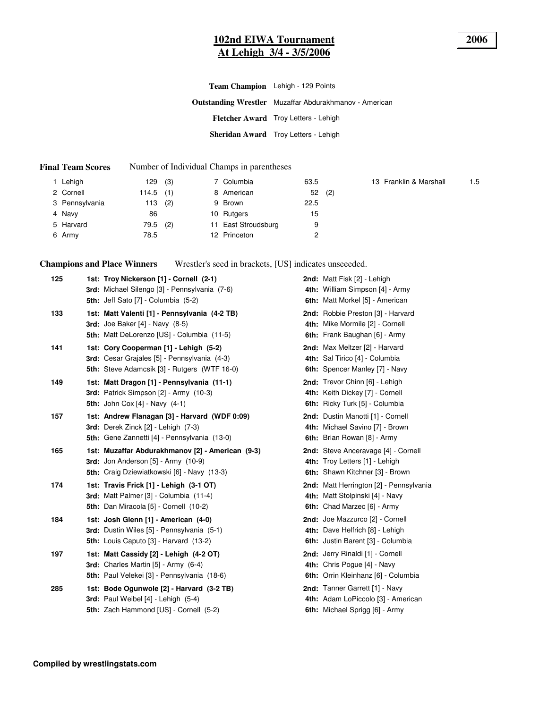#### **102nd EIWA Tournament 2006 At Lehigh 3/4 - 3/5/2006**

**Outstanding Wrestler** Muzaffar Abdurakhmanov - American **Fletcher Award** Troy Letters - Lehigh **Sheridan Award** Troy Letters - Lehigh **Team Champion** Lehigh - 129 Points

#### **Final Team Scores** Number of Individual Champs in parentheses

| 1 Lehigh       | 129   | (3) | 7 Columbia          | 63.5 |     | 13 Franklin & Marshall | 1.5 |
|----------------|-------|-----|---------------------|------|-----|------------------------|-----|
| 2 Cornell      | 114.5 | (1) | 8 American          | 52   | (2) |                        |     |
| 3 Pennsylvania | 113   | (2) | 9 Brown             | 22.5 |     |                        |     |
| 4 Navy         | 86    |     | 10 Rutgers          | 15   |     |                        |     |
| 5 Harvard      | 79.5  | (2) | 11 East Stroudsburg | 9    |     |                        |     |
| 6 Army         | 78.5  |     | 12 Princeton        |      |     |                        |     |

**Champions and Place Winners**

Wrestler's seed in brackets, [US] indicates unseeeded.

| 125 | 1st: Troy Nickerson [1] - Cornell (2-1)<br>3rd: Michael Silengo [3] - Pennsylvania (7-6)<br>5th: Jeff Sato [7] - Columbia (5-2)               | 2nd: Matt Fisk [2] - Lehigh<br>4th: William Simpson [4] - Army<br>6th: Matt Morkel [5] - American         |
|-----|-----------------------------------------------------------------------------------------------------------------------------------------------|-----------------------------------------------------------------------------------------------------------|
| 133 | 1st: Matt Valenti [1] - Pennsylvania (4-2 TB)<br>3rd: Joe Baker $[4]$ - Navy $(8-5)$<br>5th: Matt DeLorenzo [US] - Columbia (11-5)            | 2nd: Robbie Preston [3] - Harvard<br>4th: Mike Mormile [2] - Cornell<br>6th: Frank Baughan [6] - Army     |
| 141 | 1st: Cory Cooperman [1] - Lehigh (5-2)<br>3rd: Cesar Grajales [5] - Pennsylvania (4-3)<br><b>5th:</b> Steve Adamcsik [3] - Rutgers (WTF 16-0) | 2nd: Max Meltzer [2] - Harvard<br>4th: Sal Tirico [4] - Columbia<br>6th: Spencer Manley [7] - Navy        |
| 149 | 1st: Matt Dragon [1] - Pennsylvania (11-1)<br>3rd: Patrick Simpson [2] - Army (10-3)<br><b>5th:</b> John Cox $[4]$ - Navy $(4-1)$             | 2nd: Trevor Chinn [6] - Lehigh<br>4th: Keith Dickey [7] - Cornell<br>6th: Ricky Turk [5] - Columbia       |
| 157 | 1st: Andrew Flanagan [3] - Harvard (WDF 0:09)<br>3rd: Derek Zinck [2] - Lehigh (7-3)<br>5th: Gene Zannetti [4] - Pennsylvania (13-0)          | 2nd: Dustin Manotti [1] - Cornell<br>4th: Michael Savino [7] - Brown<br>6th: Brian Rowan [8] - Army       |
| 165 | 1st: Muzaffar Abdurakhmanov [2] - American (9-3)<br>3rd: Jon Anderson [5] - Army (10-9)<br>5th: Craig Dziewiatkowski [6] - Navy (13-3)        | 2nd: Steve Anceravage [4] - Cornell<br>4th: Troy Letters [1] - Lehigh<br>6th: Shawn Kitchner [3] - Brown  |
| 174 | 1st: Travis Frick [1] - Lehigh (3-1 OT)<br>3rd: Matt Palmer [3] - Columbia (11-4)<br>5th: Dan Miracola [5] - Cornell (10-2)                   | 2nd: Matt Herrington [2] - Pennsylvania<br>4th: Matt Stolpinski [4] - Navy<br>6th: Chad Marzec [6] - Army |
| 184 | 1st: Josh Glenn [1] - American (4-0)<br>3rd: Dustin Wiles [5] - Pennsylvania (5-1)<br><b>5th:</b> Louis Caputo [3] - Harvard (13-2)           | 2nd: Joe Mazzurco [2] - Cornell<br>4th: Dave Helfrich [8] - Lehigh<br>6th: Justin Barent [3] - Columbia   |
| 197 | 1st: Matt Cassidy [2] - Lehigh (4-2 OT)<br>3rd: Charles Martin [5] - Army (6-4)<br>5th: Paul Velekei [3] - Pennsylvania (18-6)                | 2nd: Jerry Rinaldi [1] - Cornell<br>4th: Chris Pogue [4] - Navy<br>6th: Orrin Kleinhanz [6] - Columbia    |
| 285 | 1st: Bode Ogunwole [2] - Harvard (3-2 TB)<br>3rd: Paul Weibel [4] - Lehigh (5-4)<br>5th: Zach Hammond [US] - Cornell (5-2)                    | 2nd: Tanner Garrett [1] - Navy<br>4th: Adam LoPiccolo [3] - American<br>6th: Michael Sprigg [6] - Army    |

**Compiled by wrestlingstats.com**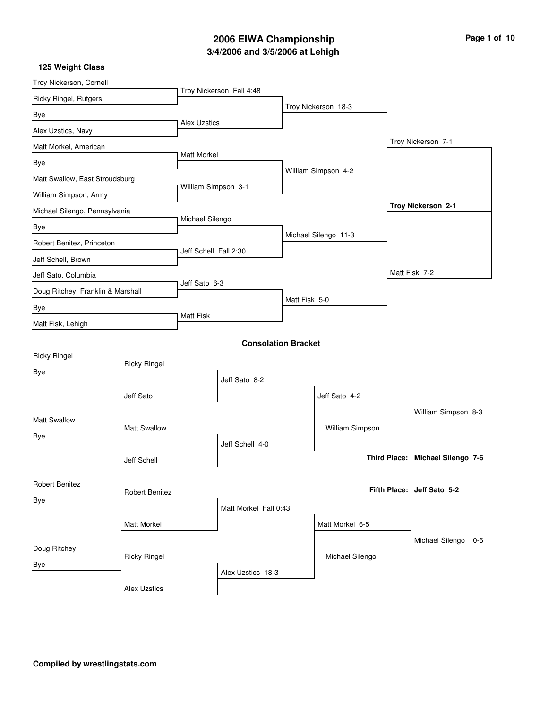# **3/4/2006 and 3/5/2006 at Lehigh 2006 EIWA Championship Page 1 of 10**

| Troy Nickerson, Cornell           |                     |                       |                            |               |                      |                                  |
|-----------------------------------|---------------------|-----------------------|----------------------------|---------------|----------------------|----------------------------------|
| Ricky Ringel, Rutgers             |                     |                       | Troy Nickerson Fall 4:48   |               |                      |                                  |
| Bye                               |                     |                       |                            |               | Troy Nickerson 18-3  |                                  |
| Alex Uzstics, Navy                |                     | <b>Alex Uzstics</b>   |                            |               |                      |                                  |
| Matt Morkel, American             |                     |                       |                            |               |                      | Troy Nickerson 7-1               |
| Bye                               |                     | <b>Matt Morkel</b>    |                            |               |                      |                                  |
| Matt Swallow, East Stroudsburg    |                     |                       |                            |               | William Simpson 4-2  |                                  |
| William Simpson, Army             |                     | William Simpson 3-1   |                            |               |                      |                                  |
| Michael Silengo, Pennsylvania     |                     |                       |                            |               |                      | Troy Nickerson 2-1               |
| Bye                               |                     | Michael Silengo       |                            |               |                      |                                  |
| Robert Benitez, Princeton         |                     |                       |                            |               | Michael Silengo 11-3 |                                  |
| Jeff Schell, Brown                |                     | Jeff Schell Fall 2:30 |                            |               |                      |                                  |
| Jeff Sato, Columbia               |                     |                       |                            |               |                      | Matt Fisk 7-2                    |
| Doug Ritchey, Franklin & Marshall |                     | Jeff Sato 6-3         |                            |               |                      |                                  |
| Bye                               |                     |                       |                            | Matt Fisk 5-0 |                      |                                  |
| Matt Fisk, Lehigh                 |                     | <b>Matt Fisk</b>      |                            |               |                      |                                  |
|                                   |                     |                       | <b>Consolation Bracket</b> |               |                      |                                  |
| <b>Ricky Ringel</b>               |                     |                       |                            |               |                      |                                  |
| Bye                               | <b>Ricky Ringel</b> |                       |                            |               |                      |                                  |
|                                   |                     |                       | Jeff Sato 8-2              |               |                      |                                  |
|                                   | Jeff Sato           |                       |                            |               | Jeff Sato 4-2        |                                  |
| <b>Matt Swallow</b>               |                     |                       |                            |               |                      | William Simpson 8-3              |
| Bye                               | <b>Matt Swallow</b> |                       |                            |               | William Simpson      |                                  |
|                                   |                     |                       | Jeff Schell 4-0            |               |                      | Third Place: Michael Silengo 7-6 |
|                                   | Jeff Schell         |                       |                            |               |                      |                                  |
| Robert Benitez                    |                     |                       |                            |               |                      | Fifth Place: Jeff Sato 5-2       |
| Bye                               | Robert Benitez      |                       |                            |               |                      |                                  |
|                                   |                     |                       | Matt Morkel Fall 0:43      |               |                      |                                  |
|                                   | Matt Morkel         |                       |                            |               | Matt Morkel 6-5      |                                  |
| Doug Ritchey                      |                     |                       |                            |               |                      | Michael Silengo 10-6             |
| Bye                               | <b>Ricky Ringel</b> |                       | Alex Uzstics 18-3          |               | Michael Silengo      |                                  |
|                                   |                     |                       |                            |               |                      |                                  |
|                                   | <b>Alex Uzstics</b> |                       |                            |               |                      |                                  |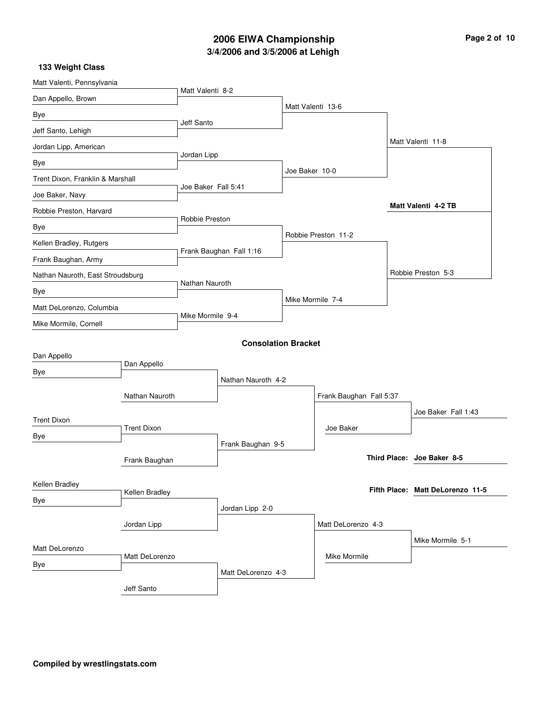# **3/4/2006 and 3/5/2006 at Lehigh 2006 EIWA Championship Page 2 of 10**

| Matt Valenti, Pennsylvania       |                    |                     |                            |                |                         |  |                                  |
|----------------------------------|--------------------|---------------------|----------------------------|----------------|-------------------------|--|----------------------------------|
| Dan Appello, Brown               |                    | Matt Valenti 8-2    |                            |                |                         |  |                                  |
| Bye                              |                    |                     |                            |                | Matt Valenti 13-6       |  |                                  |
| Jeff Santo, Lehigh               |                    | Jeff Santo          |                            |                |                         |  |                                  |
| Jordan Lipp, American            |                    |                     |                            |                |                         |  | Matt Valenti 11-8                |
| Bye                              |                    | Jordan Lipp         |                            |                |                         |  |                                  |
| Trent Dixon, Franklin & Marshall |                    |                     |                            | Joe Baker 10-0 |                         |  |                                  |
| Joe Baker, Navy                  |                    | Joe Baker Fall 5:41 |                            |                |                         |  |                                  |
| Robbie Preston, Harvard          |                    |                     |                            |                |                         |  | Matt Valenti 4-2 TB              |
| Bye                              |                    | Robbie Preston      |                            |                |                         |  |                                  |
| Kellen Bradley, Rutgers          |                    |                     |                            |                | Robbie Preston 11-2     |  |                                  |
| Frank Baughan, Army              |                    |                     | Frank Baughan Fall 1:16    |                |                         |  |                                  |
| Nathan Nauroth, East Stroudsburg |                    |                     |                            |                |                         |  | Robbie Preston 5-3               |
| Bye                              |                    | Nathan Nauroth      |                            |                |                         |  |                                  |
| Matt DeLorenzo, Columbia         |                    |                     |                            |                | Mike Mormile 7-4        |  |                                  |
| Mike Mormile, Cornell            |                    |                     | Mike Mormile 9-4           |                |                         |  |                                  |
|                                  |                    |                     | <b>Consolation Bracket</b> |                |                         |  |                                  |
| Dan Appello                      |                    |                     |                            |                |                         |  |                                  |
| Bye                              | Dan Appello        |                     |                            |                |                         |  |                                  |
|                                  |                    |                     | Nathan Nauroth 4-2         |                |                         |  |                                  |
|                                  | Nathan Nauroth     |                     |                            |                | Frank Baughan Fall 5:37 |  |                                  |
| <b>Trent Dixon</b>               |                    |                     |                            |                |                         |  | Joe Baker Fall 1:43              |
| Bye                              | <b>Trent Dixon</b> |                     |                            |                | Joe Baker               |  |                                  |
|                                  |                    |                     | Frank Baughan 9-5          |                |                         |  |                                  |
|                                  | Frank Baughan      |                     |                            |                |                         |  | Third Place: Joe Baker 8-5       |
| Kellen Bradley                   |                    |                     |                            |                |                         |  |                                  |
| Bye                              | Kellen Bradley     |                     |                            |                |                         |  | Fifth Place: Matt DeLorenzo 11-5 |
|                                  |                    |                     | Jordan Lipp 2-0            |                |                         |  |                                  |
|                                  | Jordan Lipp        |                     |                            |                | Matt DeLorenzo 4-3      |  |                                  |
| Matt DeLorenzo                   |                    |                     |                            |                |                         |  | Mike Mormile 5-1                 |
| Bye                              | Matt DeLorenzo     |                     |                            |                | Mike Mormile            |  |                                  |
|                                  |                    |                     | Matt DeLorenzo 4-3         |                |                         |  |                                  |
|                                  | Jeff Santo         |                     |                            |                |                         |  |                                  |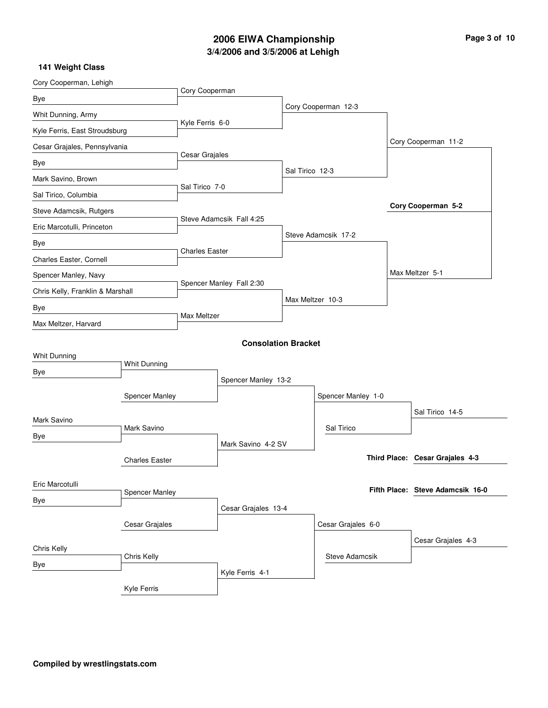# **3/4/2006 and 3/5/2006 at Lehigh 2006 EIWA Championship Page 3 of 10**

| Cory Cooperman, Lehigh           |                            |                          |                            |                  |                     |                                  |
|----------------------------------|----------------------------|--------------------------|----------------------------|------------------|---------------------|----------------------------------|
| Bye                              |                            | Cory Cooperman           |                            |                  |                     |                                  |
| Whit Dunning, Army               |                            |                          |                            |                  | Cory Cooperman 12-3 |                                  |
| Kyle Ferris, East Stroudsburg    |                            | Kyle Ferris 6-0          |                            |                  |                     |                                  |
| Cesar Grajales, Pennsylvania     |                            |                          |                            |                  |                     | Cory Cooperman 11-2              |
| Bye                              |                            | Cesar Grajales           |                            |                  |                     |                                  |
| Mark Savino, Brown               |                            |                          |                            | Sal Tirico 12-3  |                     |                                  |
| Sal Tirico, Columbia             |                            | Sal Tirico 7-0           |                            |                  |                     |                                  |
| Steve Adamcsik, Rutgers          |                            |                          |                            |                  |                     | Cory Cooperman 5-2               |
| Eric Marcotulli, Princeton       |                            |                          | Steve Adamcsik Fall 4:25   |                  |                     |                                  |
| Bye                              |                            |                          |                            |                  | Steve Adamcsik 17-2 |                                  |
| Charles Easter, Cornell          |                            | <b>Charles Easter</b>    |                            |                  |                     |                                  |
| Spencer Manley, Navy             |                            |                          |                            |                  |                     | Max Meltzer 5-1                  |
| Chris Kelly, Franklin & Marshall |                            | Spencer Manley Fall 2:30 |                            |                  |                     |                                  |
| Bye                              |                            |                          |                            | Max Meltzer 10-3 |                     |                                  |
| Max Meltzer, Harvard             |                            |                          | Max Meltzer                |                  |                     |                                  |
|                                  |                            |                          | <b>Consolation Bracket</b> |                  |                     |                                  |
| Whit Dunning                     |                            |                          |                            |                  |                     |                                  |
| <b>Bye</b>                       | Whit Dunning               |                          |                            |                  |                     |                                  |
|                                  |                            |                          | Spencer Manley 13-2        |                  |                     |                                  |
|                                  | Spencer Manley             |                          |                            |                  | Spencer Manley 1-0  |                                  |
| Mark Savino                      |                            |                          |                            |                  |                     | Sal Tirico 14-5                  |
| Bye                              | Mark Savino                |                          |                            |                  | Sal Tirico          |                                  |
|                                  |                            |                          | Mark Savino 4-2 SV         |                  |                     |                                  |
|                                  | <b>Charles Easter</b>      |                          |                            |                  |                     | Third Place: Cesar Grajales 4-3  |
| Eric Marcotulli                  |                            |                          |                            |                  |                     |                                  |
|                                  | <b>Spencer Manley</b>      |                          |                            |                  |                     | Fifth Place: Steve Adamcsik 16-0 |
| Bye                              |                            |                          | Cesar Grajales 13-4        |                  |                     |                                  |
|                                  | Cesar Grajales             |                          |                            |                  | Cesar Grajales 6-0  |                                  |
|                                  |                            |                          |                            |                  |                     | Cesar Grajales 4-3               |
|                                  | Chris Kelly<br>Chris Kelly |                          |                            |                  | Steve Adamcsik      |                                  |
| Bye                              |                            |                          | Kyle Ferris 4-1            |                  |                     |                                  |
|                                  | Kyle Ferris                |                          |                            |                  |                     |                                  |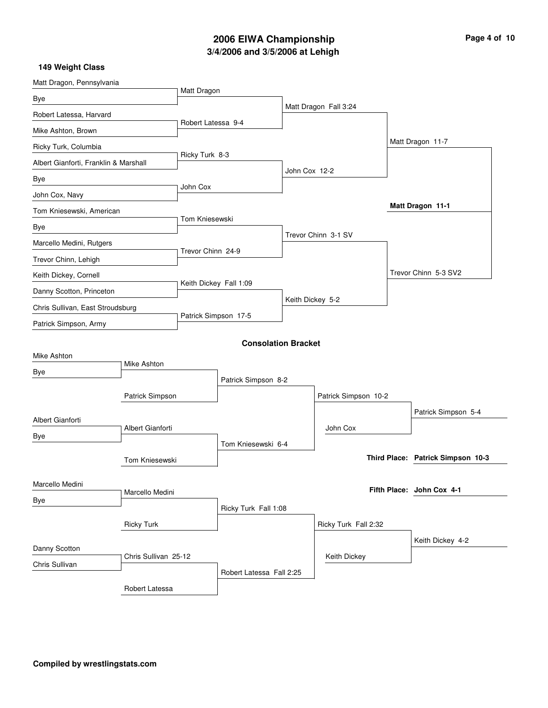# **3/4/2006 and 3/5/2006 at Lehigh 2006 EIWA Championship Page 4 of 10**

| Matt Dragon, Pennsylvania             |                      |                        |                            |                  |                       |  |                                   |
|---------------------------------------|----------------------|------------------------|----------------------------|------------------|-----------------------|--|-----------------------------------|
| Bye                                   |                      | Matt Dragon            |                            |                  |                       |  |                                   |
| Robert Latessa, Harvard               |                      |                        |                            |                  | Matt Dragon Fall 3:24 |  |                                   |
| Mike Ashton, Brown                    |                      | Robert Latessa 9-4     |                            |                  |                       |  |                                   |
| Ricky Turk, Columbia                  |                      |                        |                            |                  |                       |  | Matt Dragon 11-7                  |
| Albert Gianforti, Franklin & Marshall |                      | Ricky Turk 8-3         |                            |                  |                       |  |                                   |
| Bye                                   |                      |                        |                            | John Cox 12-2    |                       |  |                                   |
| John Cox, Navy                        |                      | John Cox               |                            |                  |                       |  |                                   |
| Tom Kniesewski, American              |                      |                        |                            |                  |                       |  | Matt Dragon 11-1                  |
| Bye                                   |                      | Tom Kniesewski         |                            |                  |                       |  |                                   |
| Marcello Medini, Rutgers              |                      |                        |                            |                  | Trevor Chinn 3-1 SV   |  |                                   |
| Trevor Chinn, Lehigh                  |                      | Trevor Chinn 24-9      |                            |                  |                       |  |                                   |
| Keith Dickey, Cornell                 |                      |                        |                            |                  |                       |  | Trevor Chinn 5-3 SV2              |
| Danny Scotton, Princeton              |                      | Keith Dickey Fall 1:09 |                            |                  |                       |  |                                   |
| Chris Sullivan, East Stroudsburg      |                      | Patrick Simpson 17-5   |                            | Keith Dickey 5-2 |                       |  |                                   |
| Patrick Simpson, Army                 |                      |                        |                            |                  |                       |  |                                   |
|                                       |                      |                        | <b>Consolation Bracket</b> |                  |                       |  |                                   |
| Mike Ashton                           |                      |                        |                            |                  |                       |  |                                   |
| Bye                                   | Mike Ashton          |                        |                            |                  |                       |  |                                   |
|                                       |                      | Patrick Simpson 8-2    |                            |                  |                       |  |                                   |
|                                       | Patrick Simpson      |                        |                            |                  | Patrick Simpson 10-2  |  |                                   |
| Albert Gianforti                      |                      |                        |                            |                  |                       |  | Patrick Simpson 5-4               |
| Bye                                   | Albert Gianforti     |                        |                            |                  | John Cox              |  |                                   |
|                                       |                      |                        | Tom Kniesewski 6-4         |                  |                       |  | Third Place: Patrick Simpson 10-3 |
|                                       | Tom Kniesewski       |                        |                            |                  |                       |  |                                   |
| Marcello Medini                       |                      |                        |                            |                  |                       |  | Fifth Place: John Cox 4-1         |
| Bye                                   | Marcello Medini      |                        |                            |                  |                       |  |                                   |
|                                       |                      |                        | Ricky Turk Fall 1:08       |                  |                       |  |                                   |
|                                       | <b>Ricky Turk</b>    |                        |                            |                  | Ricky Turk Fall 2:32  |  |                                   |
| Danny Scotton                         |                      |                        |                            |                  |                       |  | Keith Dickey 4-2                  |
| Chris Sullivan                        | Chris Sullivan 25-12 |                        |                            |                  | Keith Dickey          |  |                                   |
|                                       |                      |                        | Robert Latessa Fall 2:25   |                  |                       |  |                                   |
|                                       | Robert Latessa       |                        |                            |                  |                       |  |                                   |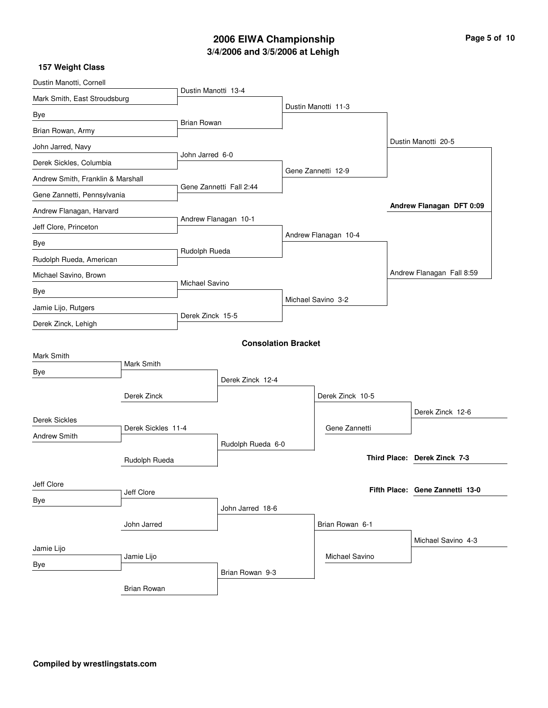# **3/4/2006 and 3/5/2006 at Lehigh 2006 EIWA Championship Page 5 of 10**

| Dustin Manotti, Cornell           |                    |                      |                            |  |                      |                           |                                 |  |
|-----------------------------------|--------------------|----------------------|----------------------------|--|----------------------|---------------------------|---------------------------------|--|
| Mark Smith, East Stroudsburg      |                    | Dustin Manotti 13-4  |                            |  |                      |                           |                                 |  |
| Bye                               |                    |                      |                            |  | Dustin Manotti 11-3  |                           |                                 |  |
| Brian Rowan, Army                 |                    | <b>Brian Rowan</b>   |                            |  |                      |                           |                                 |  |
| John Jarred, Navy                 |                    |                      |                            |  |                      |                           | Dustin Manotti 20-5             |  |
| Derek Sickles, Columbia           |                    | John Jarred 6-0      |                            |  |                      |                           |                                 |  |
| Andrew Smith, Franklin & Marshall |                    |                      |                            |  | Gene Zannetti 12-9   |                           |                                 |  |
| Gene Zannetti, Pennsylvania       |                    |                      | Gene Zannetti Fall 2:44    |  |                      |                           |                                 |  |
| Andrew Flanagan, Harvard          |                    |                      |                            |  |                      |                           | Andrew Flanagan DFT 0:09        |  |
| Jeff Clore, Princeton             |                    | Andrew Flanagan 10-1 |                            |  |                      |                           |                                 |  |
| Bye                               |                    |                      |                            |  | Andrew Flanagan 10-4 |                           |                                 |  |
| Rudolph Rueda, American           |                    | Rudolph Rueda        |                            |  |                      |                           |                                 |  |
| Michael Savino, Brown             |                    |                      |                            |  |                      | Andrew Flanagan Fall 8:59 |                                 |  |
| Bye                               | Michael Savino     |                      |                            |  |                      |                           |                                 |  |
| Jamie Lijo, Rutgers               |                    |                      |                            |  | Michael Savino 3-2   |                           |                                 |  |
| Derek Zinck, Lehigh               |                    | Derek Zinck 15-5     |                            |  |                      |                           |                                 |  |
|                                   |                    |                      | <b>Consolation Bracket</b> |  |                      |                           |                                 |  |
| Mark Smith                        |                    |                      |                            |  |                      |                           |                                 |  |
| Bye                               | Mark Smith         |                      |                            |  |                      |                           |                                 |  |
|                                   |                    | Derek Zinck 12-4     |                            |  |                      |                           |                                 |  |
|                                   | Derek Zinck        |                      |                            |  | Derek Zinck 10-5     |                           |                                 |  |
| <b>Derek Sickles</b>              |                    |                      |                            |  |                      |                           | Derek Zinck 12-6                |  |
| <b>Andrew Smith</b>               | Derek Sickles 11-4 |                      |                            |  | Gene Zannetti        |                           |                                 |  |
|                                   |                    |                      | Rudolph Rueda 6-0          |  |                      |                           | Third Place: Derek Zinck 7-3    |  |
|                                   | Rudolph Rueda      |                      |                            |  |                      |                           |                                 |  |
| Jeff Clore                        |                    |                      |                            |  |                      |                           | Fifth Place: Gene Zannetti 13-0 |  |
| Bye                               | Jeff Clore         |                      |                            |  |                      |                           |                                 |  |
|                                   |                    |                      | John Jarred 18-6           |  |                      |                           |                                 |  |
|                                   | John Jarred        |                      |                            |  | Brian Rowan 6-1      |                           |                                 |  |
| Jamie Lijo                        |                    |                      |                            |  |                      |                           | Michael Savino 4-3              |  |
| Bye                               | Jamie Lijo         |                      |                            |  | Michael Savino       |                           |                                 |  |
|                                   |                    |                      | Brian Rowan 9-3            |  |                      |                           |                                 |  |
|                                   | <b>Brian Rowan</b> |                      |                            |  |                      |                           |                                 |  |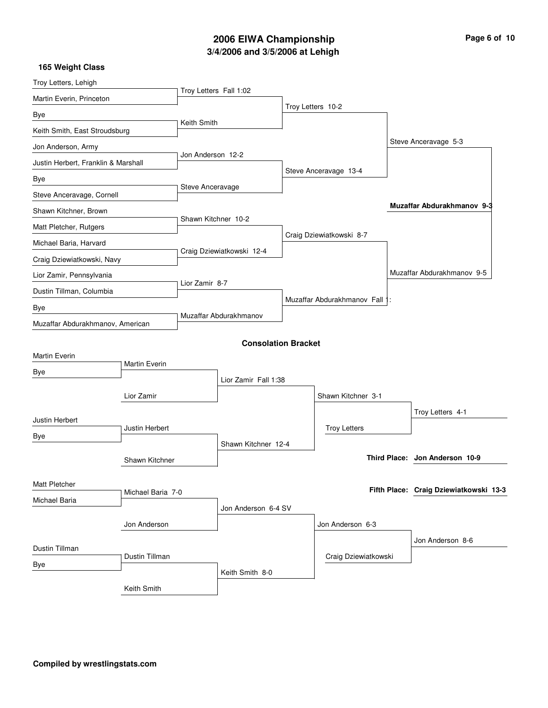# **3/4/2006 and 3/5/2006 at Lehigh 2006 EIWA Championship Page 6 of 10**

| Troy Letters, Lehigh                |                   |                        |                            |  |                                |  |                                        |  |
|-------------------------------------|-------------------|------------------------|----------------------------|--|--------------------------------|--|----------------------------------------|--|
| Martin Everin, Princeton            |                   | Troy Letters Fall 1:02 |                            |  |                                |  |                                        |  |
| Bye                                 |                   |                        |                            |  | Troy Letters 10-2              |  |                                        |  |
| Keith Smith, East Stroudsburg       |                   | Keith Smith            |                            |  |                                |  |                                        |  |
| Jon Anderson, Army                  |                   |                        |                            |  |                                |  | Steve Anceravage 5-3                   |  |
| Justin Herbert, Franklin & Marshall |                   | Jon Anderson 12-2      |                            |  |                                |  |                                        |  |
| Bye                                 |                   |                        |                            |  | Steve Anceravage 13-4          |  |                                        |  |
| Steve Anceravage, Cornell           |                   | Steve Anceravage       |                            |  |                                |  |                                        |  |
| Shawn Kitchner, Brown               |                   |                        |                            |  |                                |  | Muzaffar Abdurakhmanov 9-3             |  |
| Matt Pletcher, Rutgers              |                   | Shawn Kitchner 10-2    |                            |  |                                |  |                                        |  |
| Michael Baria, Harvard              |                   |                        |                            |  | Craig Dziewiatkowski 8-7       |  |                                        |  |
| Craig Dziewiatkowski, Navy          |                   |                        | Craig Dziewiatkowski 12-4  |  |                                |  |                                        |  |
| Lior Zamir, Pennsylvania            |                   |                        |                            |  |                                |  | Muzaffar Abdurakhmanov 9-5             |  |
| Dustin Tillman, Columbia            |                   | Lior Zamir 8-7         |                            |  |                                |  |                                        |  |
| Bye                                 |                   |                        |                            |  | Muzaffar Abdurakhmanov Fall 1: |  |                                        |  |
| Muzaffar Abdurakhmanov, American    |                   |                        | Muzaffar Abdurakhmanov     |  |                                |  |                                        |  |
|                                     |                   |                        | <b>Consolation Bracket</b> |  |                                |  |                                        |  |
| Martin Everin                       |                   |                        |                            |  |                                |  |                                        |  |
| Bye                                 | Martin Everin     |                        |                            |  |                                |  |                                        |  |
|                                     |                   | Lior Zamir Fall 1:38   |                            |  |                                |  |                                        |  |
|                                     | Lior Zamir        |                        |                            |  | Shawn Kitchner 3-1             |  |                                        |  |
| Justin Herbert                      |                   |                        |                            |  |                                |  | Troy Letters 4-1                       |  |
| Bye                                 | Justin Herbert    |                        |                            |  | <b>Troy Letters</b>            |  |                                        |  |
|                                     |                   |                        | Shawn Kitchner 12-4        |  |                                |  |                                        |  |
|                                     | Shawn Kitchner    |                        |                            |  |                                |  | Third Place: Jon Anderson 10-9         |  |
| Matt Pletcher                       |                   |                        |                            |  |                                |  |                                        |  |
| Michael Baria                       | Michael Baria 7-0 |                        |                            |  |                                |  | Fifth Place: Craig Dziewiatkowski 13-3 |  |
|                                     |                   |                        | Jon Anderson 6-4 SV        |  |                                |  |                                        |  |
|                                     | Jon Anderson      |                        |                            |  | Jon Anderson 6-3               |  |                                        |  |
| Dustin Tillman                      |                   |                        |                            |  |                                |  | Jon Anderson 8-6                       |  |
| Bye                                 | Dustin Tillman    |                        |                            |  | Craig Dziewiatkowski           |  |                                        |  |
|                                     |                   |                        | Keith Smith 8-0            |  |                                |  |                                        |  |
|                                     | Keith Smith       |                        |                            |  |                                |  |                                        |  |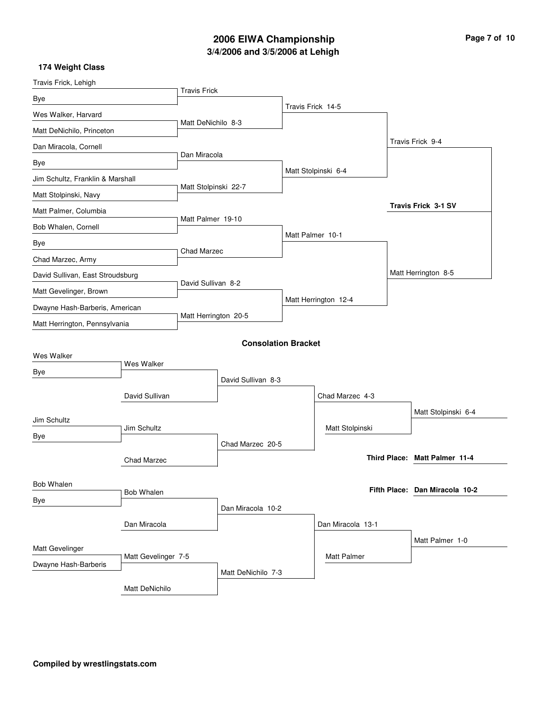# **3/4/2006 and 3/5/2006 at Lehigh 2006 EIWA Championship Page 7 of 10**

| Travis Frick, Lehigh             |                     |                      |                            |                      |                                |
|----------------------------------|---------------------|----------------------|----------------------------|----------------------|--------------------------------|
| Bye                              |                     | <b>Travis Frick</b>  |                            |                      |                                |
| Wes Walker, Harvard              |                     |                      |                            | Travis Frick 14-5    |                                |
| Matt DeNichilo, Princeton        |                     | Matt DeNichilo 8-3   |                            |                      |                                |
| Dan Miracola, Cornell            |                     |                      |                            |                      | Travis Frick 9-4               |
| Bye                              |                     | Dan Miracola         |                            |                      |                                |
| Jim Schultz, Franklin & Marshall |                     |                      |                            | Matt Stolpinski 6-4  |                                |
| Matt Stolpinski, Navy            |                     | Matt Stolpinski 22-7 |                            |                      |                                |
| Matt Palmer, Columbia            |                     |                      |                            |                      | <b>Travis Frick 3-1 SV</b>     |
| Bob Whalen, Cornell              |                     | Matt Palmer 19-10    |                            |                      |                                |
| Bye                              |                     |                      |                            | Matt Palmer 10-1     |                                |
| Chad Marzec, Army                |                     | Chad Marzec          |                            |                      |                                |
| David Sullivan, East Stroudsburg |                     |                      |                            |                      | Matt Herrington 8-5            |
| Matt Gevelinger, Brown           |                     | David Sullivan 8-2   |                            |                      |                                |
| Dwayne Hash-Barberis, American   |                     |                      |                            | Matt Herrington 12-4 |                                |
| Matt Herrington, Pennsylvania    |                     | Matt Herrington 20-5 |                            |                      |                                |
|                                  |                     |                      | <b>Consolation Bracket</b> |                      |                                |
| Wes Walker                       |                     |                      |                            |                      |                                |
| Bye                              | Wes Walker          |                      |                            |                      |                                |
|                                  |                     |                      | David Sullivan 8-3         |                      |                                |
|                                  | David Sullivan      |                      |                            | Chad Marzec 4-3      |                                |
| Jim Schultz                      |                     |                      |                            |                      | Matt Stolpinski 6-4            |
| Bye                              | Jim Schultz         |                      |                            | Matt Stolpinski      |                                |
|                                  |                     |                      | Chad Marzec 20-5           |                      | Third Place: Matt Palmer 11-4  |
|                                  | Chad Marzec         |                      |                            |                      |                                |
| <b>Bob Whalen</b>                |                     |                      |                            |                      | Fifth Place: Dan Miracola 10-2 |
| Bye                              | <b>Bob Whalen</b>   |                      |                            |                      |                                |
|                                  |                     |                      | Dan Miracola 10-2          |                      |                                |
|                                  | Dan Miracola        |                      |                            | Dan Miracola 13-1    |                                |
| Matt Gevelinger                  |                     |                      |                            |                      | Matt Palmer 1-0                |
| Dwayne Hash-Barberis             | Matt Gevelinger 7-5 |                      |                            | Matt Palmer          |                                |
|                                  |                     |                      | Matt DeNichilo 7-3         |                      |                                |
|                                  | Matt DeNichilo      |                      |                            |                      |                                |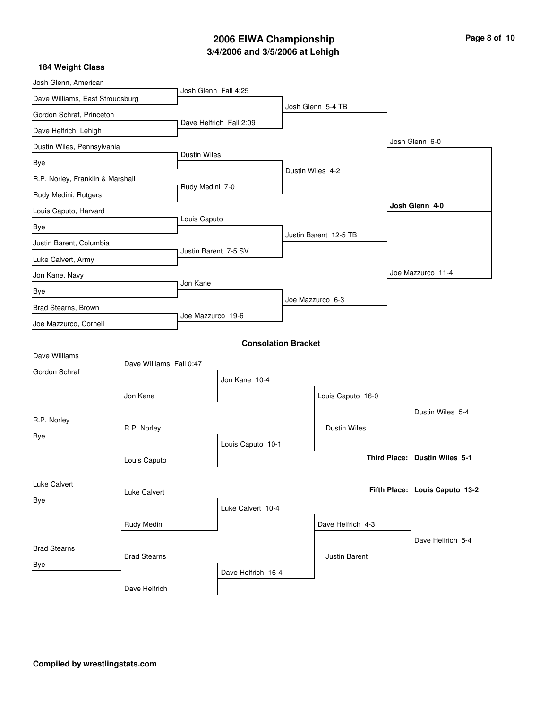# **3/4/2006 and 3/5/2006 at Lehigh 2006 EIWA Championship Page 8 of 10**

| Josh Glenn, American             |                         |                      |                            |                  |                       |                                |
|----------------------------------|-------------------------|----------------------|----------------------------|------------------|-----------------------|--------------------------------|
| Dave Williams, East Stroudsburg  |                         | Josh Glenn Fall 4:25 |                            |                  |                       |                                |
| Gordon Schraf, Princeton         |                         |                      |                            |                  | Josh Glenn 5-4 TB     |                                |
| Dave Helfrich, Lehigh            |                         |                      | Dave Helfrich Fall 2:09    |                  |                       |                                |
| Dustin Wiles, Pennsylvania       |                         |                      |                            |                  |                       | Josh Glenn 6-0                 |
| Bye                              |                         | <b>Dustin Wiles</b>  |                            |                  |                       |                                |
| R.P. Norley, Franklin & Marshall |                         |                      |                            | Dustin Wiles 4-2 |                       |                                |
| Rudy Medini, Rutgers             |                         | Rudy Medini 7-0      |                            |                  |                       |                                |
| Louis Caputo, Harvard            |                         |                      |                            |                  |                       | Josh Glenn 4-0                 |
| Bye                              |                         | Louis Caputo         |                            |                  |                       |                                |
| Justin Barent, Columbia          |                         |                      |                            |                  | Justin Barent 12-5 TB |                                |
| Luke Calvert, Army               |                         |                      | Justin Barent 7-5 SV       |                  |                       |                                |
| Jon Kane, Navy                   |                         |                      |                            |                  |                       | Joe Mazzurco 11-4              |
| Bye                              |                         | Jon Kane             |                            |                  |                       |                                |
| Brad Stearns, Brown              |                         | Joe Mazzurco 19-6    |                            |                  | Joe Mazzurco 6-3      |                                |
| Joe Mazzurco, Cornell            |                         |                      |                            |                  |                       |                                |
|                                  |                         |                      | <b>Consolation Bracket</b> |                  |                       |                                |
| Dave Williams                    |                         |                      |                            |                  |                       |                                |
| Gordon Schraf                    | Dave Williams Fall 0:47 |                      |                            |                  |                       |                                |
|                                  |                         | Jon Kane 10-4        |                            |                  |                       |                                |
|                                  | Jon Kane                |                      |                            |                  | Louis Caputo 16-0     |                                |
| R.P. Norley                      |                         |                      |                            |                  |                       | Dustin Wiles 5-4               |
| Bye                              | R.P. Norley             |                      |                            |                  | Dustin Wiles          |                                |
|                                  |                         |                      | Louis Caputo 10-1          |                  |                       | Third Place: Dustin Wiles 5-1  |
|                                  | Louis Caputo            |                      |                            |                  |                       |                                |
| Luke Calvert                     |                         |                      |                            |                  |                       | Fifth Place: Louis Caputo 13-2 |
| Bye                              | Luke Calvert            |                      |                            |                  |                       |                                |
|                                  |                         |                      | Luke Calvert 10-4          |                  |                       |                                |
|                                  | Rudy Medini             |                      |                            |                  | Dave Helfrich 4-3     |                                |
| <b>Brad Stearns</b>              |                         |                      |                            |                  |                       | Dave Helfrich 5-4              |
| Bye                              | <b>Brad Stearns</b>     |                      |                            |                  | Justin Barent         |                                |
|                                  |                         |                      | Dave Helfrich 16-4         |                  |                       |                                |
|                                  | Dave Helfrich           |                      |                            |                  |                       |                                |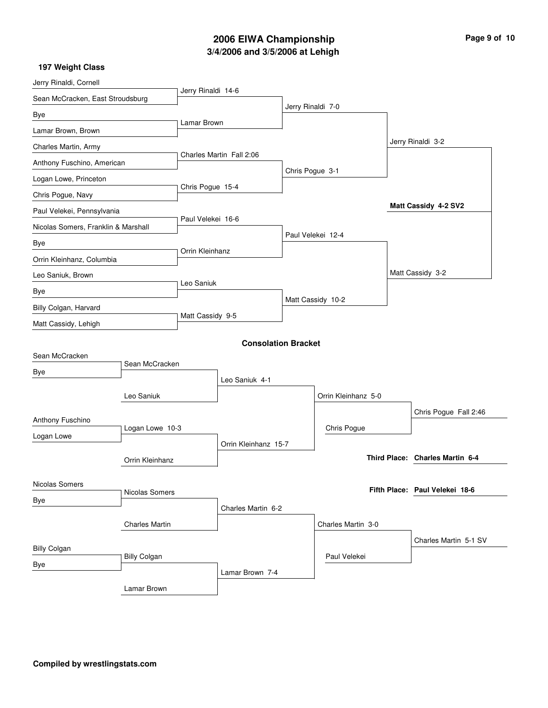## **3/4/2006 and 3/5/2006 at Lehigh 2006 EIWA Championship Page 9 of 10**

| Jerry Rinaldi, Cornell              |                       |                    |                            |                   |                     |                                 |
|-------------------------------------|-----------------------|--------------------|----------------------------|-------------------|---------------------|---------------------------------|
| Sean McCracken, East Stroudsburg    |                       | Jerry Rinaldi 14-6 |                            |                   |                     |                                 |
| Bye                                 |                       |                    |                            | Jerry Rinaldi 7-0 |                     |                                 |
| Lamar Brown, Brown                  |                       | Lamar Brown        |                            |                   |                     |                                 |
| Charles Martin, Army                |                       |                    |                            |                   |                     | Jerry Rinaldi 3-2               |
| Anthony Fuschino, American          |                       |                    | Charles Martin Fall 2:06   |                   |                     |                                 |
| Logan Lowe, Princeton               |                       |                    |                            | Chris Pogue 3-1   |                     |                                 |
| Chris Pogue, Navy                   |                       | Chris Pogue 15-4   |                            |                   |                     |                                 |
| Paul Velekei, Pennsylvania          |                       |                    |                            |                   |                     | Matt Cassidy 4-2 SV2            |
| Nicolas Somers, Franklin & Marshall |                       | Paul Velekei 16-6  |                            |                   |                     |                                 |
| Bye                                 |                       |                    |                            |                   | Paul Velekei 12-4   |                                 |
| Orrin Kleinhanz, Columbia           |                       | Orrin Kleinhanz    |                            |                   |                     |                                 |
| Leo Saniuk, Brown                   |                       |                    |                            |                   |                     | Matt Cassidy 3-2                |
| Bye                                 |                       | Leo Saniuk         |                            |                   |                     |                                 |
| Billy Colgan, Harvard               |                       |                    |                            |                   | Matt Cassidy 10-2   |                                 |
| Matt Cassidy, Lehigh                |                       |                    | Matt Cassidy 9-5           |                   |                     |                                 |
|                                     |                       |                    | <b>Consolation Bracket</b> |                   |                     |                                 |
| Sean McCracken                      |                       |                    |                            |                   |                     |                                 |
| Bye                                 | Sean McCracken        |                    |                            |                   |                     |                                 |
|                                     |                       |                    | Leo Saniuk 4-1             |                   |                     |                                 |
|                                     | Leo Saniuk            |                    |                            |                   | Orrin Kleinhanz 5-0 |                                 |
| Anthony Fuschino                    |                       |                    |                            |                   |                     | Chris Pogue Fall 2:46           |
| Logan Lowe                          | Logan Lowe 10-3       |                    |                            |                   | Chris Pogue         |                                 |
|                                     |                       |                    | Orrin Kleinhanz 15-7       |                   |                     | Third Place: Charles Martin 6-4 |
|                                     | Orrin Kleinhanz       |                    |                            |                   |                     |                                 |
| Nicolas Somers                      |                       |                    |                            |                   |                     | Fifth Place: Paul Velekei 18-6  |
| Bye                                 | Nicolas Somers        |                    |                            |                   |                     |                                 |
|                                     |                       |                    | Charles Martin 6-2         |                   |                     |                                 |
|                                     | <b>Charles Martin</b> |                    |                            |                   | Charles Martin 3-0  |                                 |
| <b>Billy Colgan</b>                 |                       |                    |                            |                   |                     | Charles Martin 5-1 SV           |
| Bye                                 | <b>Billy Colgan</b>   |                    |                            |                   | Paul Velekei        |                                 |
|                                     |                       |                    | Lamar Brown 7-4            |                   |                     |                                 |
|                                     | Lamar Brown           |                    |                            |                   |                     |                                 |